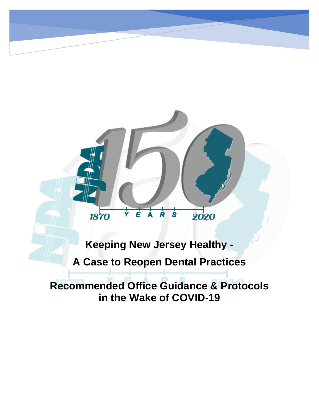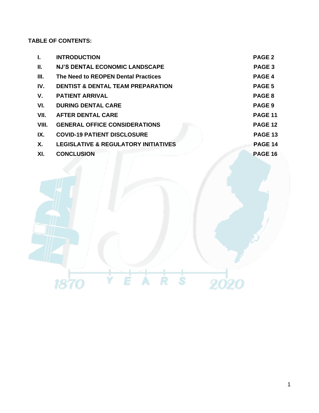## **TABLE OF CONTENTS:**

| Ι.    | <b>INTRODUCTION</b>                             | <b>PAGE 2</b>     |
|-------|-------------------------------------------------|-------------------|
| Н.    | <b>NJ'S DENTAL ECONOMIC LANDSCAPE</b>           | PAGE <sub>3</sub> |
| III.  | The Need to REOPEN Dental Practices             | PAGE 4            |
| IV.   | <b>DENTIST &amp; DENTAL TEAM PREPARATION</b>    | PAGE <sub>5</sub> |
| V.    | <b>PATIENT ARRIVAL</b>                          | PAGE 8            |
| VI.   | <b>DURING DENTAL CARE</b>                       | PAGE <sub>9</sub> |
| VII.  | <b>AFTER DENTAL CARE</b>                        | <b>PAGE 11</b>    |
| VIII. | <b>GENERAL OFFICE CONSIDERATIONS</b>            | <b>PAGE 12</b>    |
| IX.   | <b>COVID-19 PATIENT DISCLOSURE</b>              | <b>PAGE 13</b>    |
| X.    | <b>LEGISLATIVE &amp; REGULATORY INITIATIVES</b> | <b>PAGE 14</b>    |
| XI.   | <b>CONCLUSION</b>                               | <b>PAGE 16</b>    |
|       |                                                 |                   |

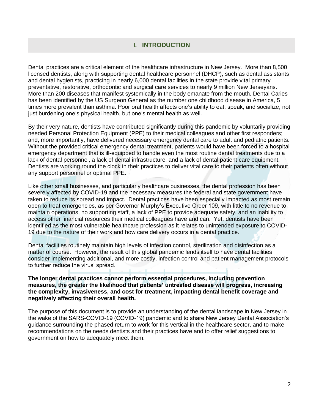## **I. INTRODUCTION**

Dental practices are a critical element of the healthcare infrastructure in New Jersey. More than 8,500 licensed dentists, along with supporting dental healthcare personnel (DHCP), such as dental assistants and dental hygienists, practicing in nearly 6,000 dental facilities in the state provide vital primary preventative, restorative, orthodontic and surgical care services to nearly 9 million New Jerseyans. More than 200 diseases that manifest systemically in the body emanate from the mouth. Dental Caries has been identified by the US Surgeon General as the number one childhood disease in America, 5 times more prevalent than asthma. Poor oral health affects one's ability to eat, speak, and socialize, not just burdening one's physical health, but one's mental health as well.

By their very nature, dentists have contributed significantly during this pandemic by voluntarily providing needed Personal Protection Equipment (PPE) to their medical colleagues and other first responders; and, more importantly, have delivered necessary emergency dental care to adult and pediatric patients. Without the provided critical emergency dental treatment, patients would have been forced to a hospital emergency department that is ill-equipped to handle even the most routine dental treatments due to a lack of dental personnel, a lack of dental infrastructure, and a lack of dental patient care equipment. Dentists are working round the clock in their practices to deliver vital care to their patients often without any support personnel or optimal PPE.

Like other small businesses, and particularly healthcare businesses, the dental profession has been severely affected by COVID-19 and the necessary measures the federal and state government have taken to reduce its spread and impact. Dental practices have been especially impacted as most remain open to treat emergencies, as per Governor Murphy's Executive Order 109, with little to no revenue to maintain operations, no supporting staff, a lack of PPE to provide adequate safety, and an inability to access other financial resources their medical colleagues have and can. Yet, dentists have been identified as the most vulnerable healthcare profession as it relates to unintended exposure to COVID-19 due to the nature of their work and how care delivery occurs in a dental practice.

Dental facilities routinely maintain high levels of infection control, sterilization and disinfection as a matter of course. However, the result of this global pandemic lends itself to have dental facilities consider implementing additional, and more costly, infection control and patient management protocols to further reduce the virus' spread.

#### **The longer dental practices cannot perform essential procedures, including prevention measures, the greater the likelihood that patients' untreated disease will progress, increasing the complexity, invasiveness, and cost for treatment, impacting dental benefit coverage and negatively affecting their overall health.**

The purpose of this document is to provide an understanding of the dental landscape in New Jersey in the wake of the SARS-COVID-19 (COVID-19) pandemic and to share New Jersey Dental Association's guidance surrounding the phased return to work for this vertical in the healthcare sector, and to make recommendations on the needs dentists and their practices have and to offer relief suggestions to government on how to adequately meet them.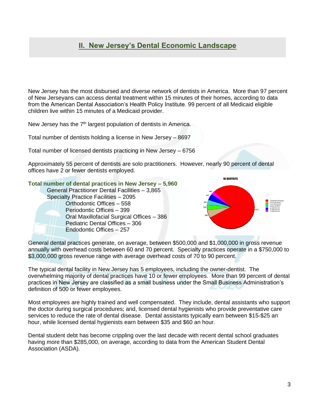# **II. New Jersey's Dental Economic Landscape**

New Jersey has the most disbursed and diverse network of dentists in America. More than 97 percent of New Jerseyans can access dental treatment within 15 minutes of their homes, according to data from the American Dental Association's Health Policy Institute. 99 percent of all Medicaid eligible children live within 15 minutes of a Medicaid provider.

New Jersey has the  $7<sup>th</sup>$  largest population of dentists in America.

Total number of dentists holding a license in New Jersey – 8697

Total number of licensed dentists practicing in New Jersey – 6756

Approximately 55 percent of dentists are solo practitioners. However, nearly 90 percent of dental offices have 2 or fewer dentists employed.

**Total number of dental practices in New Jersey – 5,960** General Practitioner Dental Facilities – 3,865 Specialty Practice Facilities – 2095 Orthodontic Offices – 558 Periodontic Offices – 399 Oral Maxillofacial Surgical Offices – 386 Pediatric Dental Offices – 306 Endodontic Offices – 257



General dental practices generate, on average, between \$500,000 and \$1,000,000 in gross revenue annually with overhead costs between 60 and 70 percent. Specialty practices operate in a \$750,000 to \$3,000,000 gross revenue range with average overhead costs of 70 to 90 percent.

The typical dental facility in New Jersey has 5 employees, including the owner-dentist. The overwhelming majority of dental practices have 10 or fewer employees. More than 99 percent of dental practices in New Jersey are classified as a small business under the Small Business Administration's definition of 500 or fewer employees.

Most employees are highly trained and well compensated. They include, dental assistants who support the doctor during surgical procedures; and, licensed dental hygienists who provide preventative care services to reduce the rate of dental disease. Dental assistants typically earn between \$15-\$25 an hour, while licensed dental hygienists earn between \$35 and \$60 an hour.

Dental student debt has become crippling over the last decade with recent dental school graduates having more than \$285,000, on average, according to data from the American Student Dental Association (ASDA).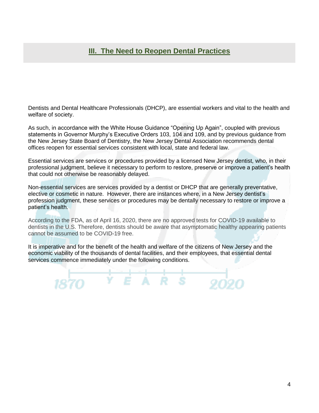Dentists and Dental Healthcare Professionals (DHCP), are essential workers and vital to the health and welfare of society.

As such, in accordance with the White House Guidance "Opening Up Again", coupled with previous statements in Governor Murphy's Executive Orders 103, 104 and 109, and by previous guidance from the New Jersey State Board of Dentistry, the New Jersey Dental Association recommends dental offices reopen for essential services consistent with local, state and federal law.

Essential services are services or procedures provided by a licensed New Jersey dentist, who, in their professional judgment, believe it necessary to perform to restore, preserve or improve a patient's health that could not otherwise be reasonably delayed.

Non-essential services are services provided by a dentist or DHCP that are generally preventative, elective or cosmetic in nature. However, there are instances where, in a New Jersey dentist's profession judgment, these services or procedures may be dentally necessary to restore or improve a patient's health.

According to the FDA, as of April 16, 2020, there are no approved tests for COVID-19 available to dentists in the U.S. Therefore, dentists should be aware that asymptomatic healthy appearing patients cannot be assumed to be COVID-19 free.

It is imperative and for the benefit of the health and welfare of the citizens of New Jersey and the economic viability of the thousands of dental facilities, and their employees, that essential dental services commence immediately under the following conditions.

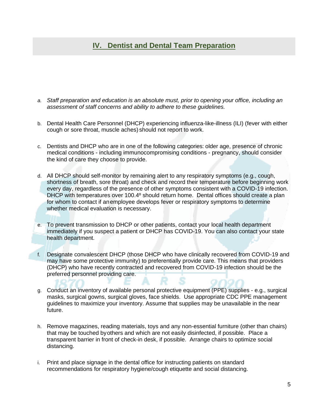# **IV. Dentist and Dental Team Preparation**

- *a. Staff preparation and education is an absolute must, prior to opening your office, including an assessment of staff concerns and ability to adhere to these guidelines.*
- b. Dental Health Care Personnel (DHCP) experiencing influenza-like-illness (ILI) (fever with either cough or sore throat, muscle aches) should not report to work.
- c. Dentists and DHCP who are in one of the following categories: older age, presence of chronic medical conditions - including immunocompromising conditions - pregnancy, should consider the kind of care they choose to provide.
- d. All DHCP should self-monitor by remaining alert to any respiratory symptoms (e.g., cough, shortness of breath, sore throat) and check and record their temperature before beginning work every day, regardless of the presence of other symptoms consistent with a COVID-19 infection. DHCP with temperatures over 100.4º should return home. Dental offices should create a plan for whom to contact if anemployee develops fever or respiratory symptoms to determine whether medical evaluation is necessary.
- e. To prevent transmission to DHCP or other patients, contact your [local health department](https://www.naccho.org/membership/lhd-directory)  immediately if you suspect a patient or DHCP has COVID-19. You can also contact your [state](https://www.cste.org/page/EpiOnCall)  [health department.](https://www.cste.org/page/EpiOnCall)
- f. Designate convalescent DHCP (those DHCP who have clinically recovered from COVID-19 and may have some protective immunity) to preferentially provide care. This means that providers (DHCP) who have recently contracted and recovered from COVID-19 infection should be the preferred personnel providing care.
- g. Conduct an inventory of available personal protective equipment (PPE) supplies e.g., surgical masks, surgical gowns, surgical gloves, face shields. Use appropriate CDC PPE management guidelines to maximize your inventory. Assume that supplies may be unavailable in the near future.
- h. Remove magazines, reading materials, toys and any non-essential furniture (other than chairs) that may be touched byothers and which are not easily disinfected, if possible. Place a transparent barrier in front of check-in desk, if possible. Arrange chairs to optimize social distancing.
- i. Print and place signage in the dental office for instructing patients on standard recommendations for respiratory hygiene/cough etiquette and social distancing.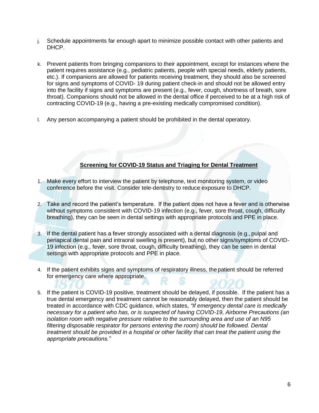- j. Schedule appointments far enough apart to minimize possible contact with other patients and DHCP.
- k. Prevent patients from bringing companions to their appointment, except for instances where the patient requires assistance (e.g., pediatric patients, people with special needs, elderly patients, etc.). If companions are allowed for patients receiving treatment, they should also be screened for signs and symptoms of COVID- 19 during patient check-in and should not be allowed entry into the facility if signs and symptoms are present (e.g., fever, cough, shortness of breath, sore throat). Companions should not be allowed in the dental office if perceived to be at a high risk of contracting COVID-19 (e.g., having a pre-existing medically compromised condition).
- l. Any person accompanying a patient should be prohibited in the dental operatory.

## **Screening for COVID-19 Status and Triaging for Dental Treatment**

- 1. Make every effort to interview the patient by telephone, text monitoring system, or video conference before the visit. Consider tele-dentistry to reduce exposure to DHCP.
- 2. Take and record the patient's temperature. If the patient does not have a fever and is otherwise without symptoms consistent with COVID-19 infection (e.g., fever, sore throat, cough, difficulty breathing), they can be seen in dental settings with appropriate protocols and PPE in place.
- 3. If the dental patient has a fever strongly associated with a dental diagnosis (e.g., pulpal and periapical dental pain and intraoral swelling is present), but no other signs/symptoms of COVID-19 infection (e.g., fever, sore throat, cough, difficulty breathing), they can be seen in dental settings with appropriate protocols and PPE in place.
- 4. If the patient exhibits signs and symptoms of respiratory illness, the patient should be referred for emergency care where appropriate.
- 5. If the patient is COVID-19 positive, treatment should be delayed, if possible. If the patient has a true dental emergency and treatment cannot be reasonably delayed, then the patient should be treated in accordance with CDC guidance, which states, *"If emergency dental care is medically necessary for a patient who has, or is suspected of having COVID-19, [Airborne Precautions](https://www.cdc.gov/infectioncontrol/basics/transmission-based-precautions.html#anchor_1564058235) (an isolation room with negative pressure relative to the surrounding area and use of an N95 filtering disposable respirator for persons entering the room) should be followed. Dental treatment should be provided in a hospital or other facility that can treat the patient using the appropriate precautions."*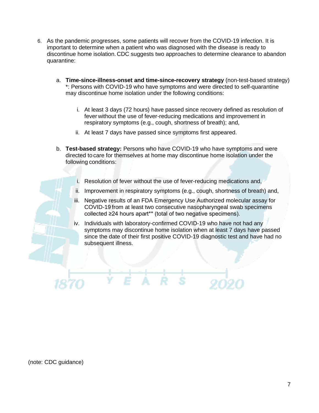- 6. As the pandemic progresses, some patients will recover from the COVID-19 infection. It is important to determine when a patient who was diagnosed with the disease is ready to discontinue home isolation. CDC suggests two approaches to determine clearance to abandon quarantine:
	- a. **Time-since-illness-onset and time-since-recovery strategy** (non-test-based strategy) \*: Persons with COVID-19 who have symptoms and were directed to self-quarantine may discontinue home isolation under the following conditions:
		- i. At least 3 days (72 hours) have passed since recovery defined as resolution of fever without the use of fever-reducing medications and improvement in respiratory symptoms (e.g., cough, shortness of breath); and,
		- ii. At least 7 days have passed since symptoms first appeared.
	- b. **Test-based strategy:** Persons who have COVID-19 who have symptoms and were directed to care for themselves at home may discontinue home isolation under the following conditions:
		- i. Resolution of fever without the use of fever-reducing medications and,
		- ii. Improvement in respiratory symptoms (e.g., cough, shortness of breath) and,
		- iii. Negative results of an FDA Emergency Use Authorized molecular assay for COVID-19 from at least two consecutive nasopharyngeal swab specimens collected ≥24 hours apart\*\* (total of two negative specimens).
		- iv. Individuals with laboratory-confirmed COVID-19 who have not had any symptoms may discontinue home isolation when at least 7 days have passed since the date of their first positive COVID-19 diagnostic test and have had no subsequent illness.

(note: CDC guidance)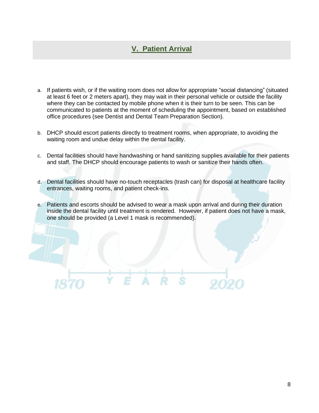# **V. Patient Arrival**

- a. If patients wish, or if the waiting room does not allow for appropriate "social distancing" (situated at least 6 feet or 2 meters apart), they may wait in their personal vehicle or outside the facility where they can be contacted by mobile phone when it is their turn to be seen. This can be communicated to patients at the moment of scheduling the appointment, based on established office procedures (see Dentist and Dental Team Preparation Section).
- b. DHCP should escort patients directly to treatment rooms, when appropriate, to avoiding the waiting room and undue delay within the dental facility.
- c. Dental facilities should have handwashing or hand sanitizing supplies available for their patients and staff. The DHCP should encourage patients to wash or sanitize their hands often.
- d. Dental facilities should have no-touch receptacles (trash can) for disposal at healthcare facility entrances, waiting rooms, and patient check-ins.
- e. Patients and escorts should be advised to wear a mask upon arrival and during their duration inside the dental facility until treatment is rendered. However, if patient does not have a mask, one should be provided (a Level 1 mask is recommended).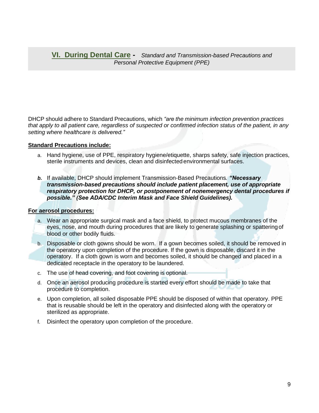### **VI. During Dental Care -** *Standard and Transmission-based Precautions and Personal Protective Equipment (PPE)*

DHCP should adhere to Standard Precautions, which *"are the minimum infection prevention practices that apply to all patient care, regardless of suspected or confirmed infection status of the patient, in any setting where healthcare is delivered."*

#### **Standard Precautions include:**

- a. Hand hygiene, use of PPE, respiratory hygiene/etiquette, sharps safety, safe injection practices, sterile instruments and devices, clean and disinfectedenvironmental surfaces.
- *b.* If available, DHCP should implement Transmission-Based Precautions*. "Necessary transmission-based precautions should include patient placement, use of appropriate respiratory protection for DHCP, or postponement of nonemergency dental procedures if possible." (See ADA/CDC Interim Mask and Face Shield Guidelines).*

#### **For aerosol procedures:**

- a. Wear an appropriate surgical mask and a face shield, to protect mucous membranes of the eyes, nose, and mouth during procedures that are likely to generate splashing or spatteringof blood or other bodily fluids.
- b. Disposable or cloth gowns should be worn. If a gown becomes soiled, it should be removed in the operatory upon completion of the procedure. If the gown is disposable, discard it in the operatory. If a cloth gown is worn and becomes soiled, it should be changed and placed in a dedicated receptacle in the operatory to be laundered.
- c. The use of head covering, and foot covering is optional.
- d. Once an aerosol producing procedure is started every effort should be made to take that procedure to completion.
- e. Upon completion, all soiled disposable PPE should be disposed of within that operatory. PPE that is reusable should be left in the operatory and disinfected along with the operatory or sterilized as appropriate.
- f. Disinfect the operatory upon completion of the procedure.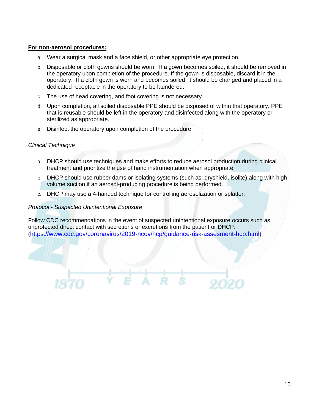#### **For non-aerosol procedures:**

- a. Wear a surgical mask and a face shield, or other appropriate eye protection.
- b. Disposable or cloth gowns should be worn. If a gown becomes soiled, it should be removed in the operatory upon completion of the procedure. If the gown is disposable, discard it in the operatory. If a cloth gown is worn and becomes soiled, it should be changed and placed in a dedicated receptacle in the operatory to be laundered.
- c. The use of head covering, and foot covering is not necessary.
- d. Upon completion, all soiled disposable PPE should be disposed of within that operatory. PPE that is reusable should be left in the operatory and disinfected along with the operatory or sterilized as appropriate.
- e. Disinfect the operatory upon completion of the procedure.

#### *Clinical Technique*

- a. DHCP should use techniques and make efforts to reduce aerosol production during clinical treatment and prioritize the use of hand instrumentation when appropriate.
- b. DHCP should use rubber dams or isolating systems (such as: dryshield, isolite) along with high volume suction if an aerosol-producing procedure is being performed.
- c. DHCP may use a 4-handed technique for controlling aerosolization or splatter.

#### *Protocol - Suspected Unintentional Exposure*

Follow CDC recommendations in the event of suspected unintentional exposure occurs such as unprotected direct contact with secretions or excretions from the patient or DHCP. (<https://www.cdc.gov/coronavirus/2019-ncov/hcp/guidance-risk-assesment-hcp.html>)

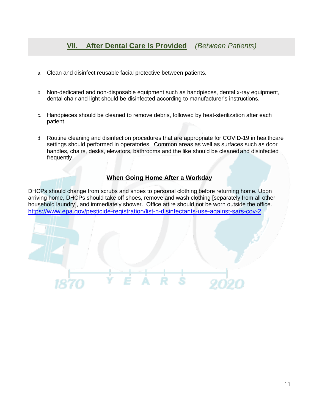- a. Clean and disinfect reusable facial protective between patients.
- b. Non-dedicated and non-disposable equipment such as handpieces, dental x-ray equipment, dental chair and light should be disinfected according to manufacturer's instructions.
- c. Handpieces should be cleaned to remove debris, followed by heat-sterilization after each patient.
- d. Routine cleaning and disinfection procedures that are appropriate for COVID-19 in healthcare settings should performed in operatories. Common areas as well as surfaces such as door handles, chairs, desks, elevators, bathrooms and the like should be cleanedand disinfected frequently.

## **When Going Home After a Workday**

DHCPs should change from scrubs and shoes to personal clothing before returning home. Upon arriving home, DHCPs should take off shoes, remove and wash clothing [separately from all other household laundry], and immediately shower. Office attire should not be worn outside the office. <https://www.epa.gov/pesticide-registration/list-n-disinfectants-use-against-sars-cov-2>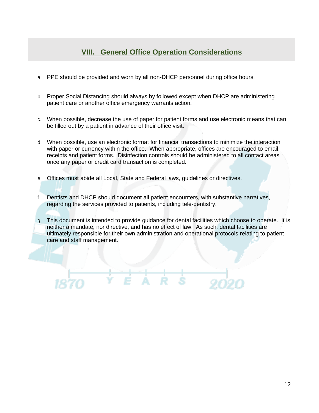## **VIII. General Office Operation Considerations**

- a. PPE should be provided and worn by all non-DHCP personnel during office hours.
- b. Proper Social Distancing should always by followed except when DHCP are administering patient care or another office emergency warrants action.
- c. When possible, decrease the use of paper for patient forms and use electronic means that can be filled out by a patient in advance of their office visit.
- d. When possible, use an electronic format for financial transactions to minimize the interaction with paper or currency within the office. When appropriate, offices are encouraged to email receipts and patient forms. Disinfection controls should be administered to all contact areas once any paper or credit card transaction is completed.
- e. Offices must abide all Local, State and Federal laws, guidelines or directives.

 $E$  A

- f. Dentists and DHCP should document all patient encounters, with substantive narratives, regarding the services provided to patients, including tele-dentistry.
- g. This document is intended to provide guidance for dental facilities which choose to operate. It is neither a mandate, nor directive, and has no effect of law. As such, dental facilities are ultimately responsible for their own administration and operational protocols relating to patient care and staff management.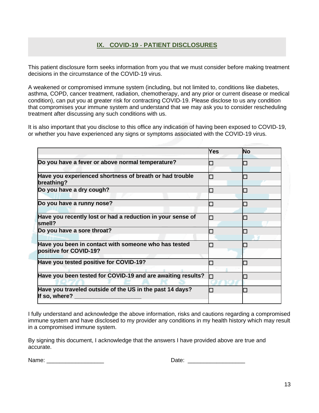## **IX. COVID‐19 ‐ PATIENT DISCLOSURES**

This patient disclosure form seeks information from you that we must consider before making treatment decisions in the circumstance of the COVID‐19 virus.

A weakened or compromised immune system (including, but not limited to, conditions like diabetes, asthma, COPD, cancer treatment, radiation, chemotherapy, and any prior or current disease or medical condition), can put you at greater risk for contracting COVID‐19. Please disclose to us any condition that compromises your immune system and understand that we may ask you to consider rescheduling treatment after discussing any such conditions with us.

It is also important that you disclose to this office any indication of having been exposed to COVID‐19, or whether you have experienced any signs or symptoms associated with the COVID‐19 virus.

|                                                                                | Yes | <b>No</b> |
|--------------------------------------------------------------------------------|-----|-----------|
| Do you have a fever or above normal temperature?                               |     |           |
| Have you experienced shortness of breath or had trouble<br>breathing?          | a l |           |
| Do you have a dry cough?                                                       |     |           |
| Do you have a runny nose?                                                      |     |           |
| Have you recently lost or had a reduction in your sense of<br>smell?           |     |           |
| Do you have a sore throat?                                                     |     |           |
| Have you been in contact with someone who has tested<br>positive for COVID-19? |     |           |
| Have you tested positive for COVID-19?                                         |     |           |
| Have you been tested for COVID-19 and are awaiting results?                    |     |           |
| Have you traveled outside of the US in the past 14 days?<br>If so, where?      |     |           |

I fully understand and acknowledge the above information, risks and cautions regarding a compromised immune system and have disclosed to my provider any conditions in my health history which may result in a compromised immune system.

By signing this document, I acknowledge that the answers I have provided above are true and accurate.

Name: \_\_\_\_\_\_\_\_\_\_\_\_\_\_\_\_\_\_ Date: \_\_\_\_\_\_\_\_\_\_\_\_\_\_\_\_\_\_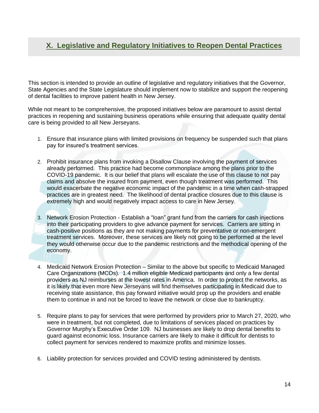# **X. Legislative and Regulatory Initiatives to Reopen Dental Practices**

This section is intended to provide an outline of legislative and regulatory initiatives that the Governor, State Agencies and the State Legislature should implement now to stabilize and support the reopening of dental facilities to improve patient health in New Jersey.

While not meant to be comprehensive, the proposed initiatives below are paramount to assist dental practices in reopening and sustaining business operations while ensuring that adequate quality dental care is being provided to all New Jerseyans.

- 1. Ensure that insurance plans with limited provisions on frequency be suspended such that plans pay for insured's treatment services.
- 2. Prohibit insurance plans from invoking a Disallow Clause involving the payment of services already performed. This practice had become commonplace among the plans prior to the COVID-19 pandemic. It is our belief that plans will escalate the use of this clause to not pay claims and absolve the insured from payment, even though treatment was performed. This would exacerbate the negative economic impact of the pandemic in a time when cash-strapped practices are in greatest need. The likelihood of dental practice closures due to this clause is extremely high and would negatively impact access to care in New Jersey.
- 3. Network Erosion Protection Establish a "loan" grant fund from the carriers for cash injections into their participating providers to give advance payment for services. Carriers are sitting in cash-positive positions as they are not making payments for preventative or non-emergent treatment services. Moreover, these services are likely not going to be performed at the level they would otherwise occur due to the pandemic restrictions and the methodical opening of the economy.
- 4. Medicaid Network Erosion Protection Similar to the above but specific to Medicaid Managed Care Organizations (MCOs). 1.4 million eligible Medicaid participants and only a few dental providers as NJ reimburses at the lowest rates in America. In order to protect the networks, as it is likely that even more New Jerseyans will find themselves participating in Medicaid due to receiving state assistance, this pay forward initiative would prop up the providers and enable them to continue in and not be forced to leave the network or close due to bankruptcy.
- 5. Require plans to pay for services that were performed by providers prior to March 27, 2020, who were in treatment, but not completed, due to limitations of services placed on practices by Governor Murphy's Executive Order 109. NJ businesses are likely to drop dental benefits to guard against economic loss. Insurance carriers are likely to make it difficult for dentists to collect payment for services rendered to maximize profits and minimize losses.
- 6. Liability protection for services provided and COVID testing administered by dentists.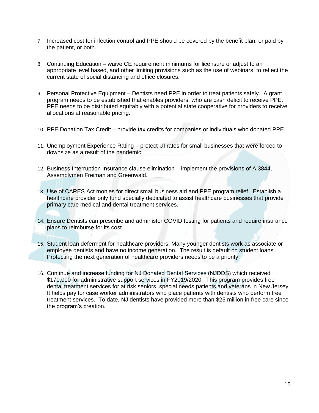- 7. Increased cost for infection control and PPE should be covered by the benefit plan, or paid by the patient, or both.
- 8. Continuing Education waive CE requirement minimums for licensure or adjust to an appropriate level based, and other limiting provisions such as the use of webinars, to reflect the current state of social distancing and office closures.
- 9. Personal Protective Equipment Dentists need PPE in order to treat patients safely. A grant program needs to be established that enables providers, who are cash deficit to receive PPE. PPE needs to be distributed equitably with a potential state cooperative for providers to receive allocations at reasonable pricing.
- 10. PPE Donation Tax Credit provide tax credits for companies or individuals who donated PPE.
- 11. Unemployment Experience Rating protect UI rates for small businesses that were forced to downsize as a result of the pandemic.
- 12. Business Interruption Insurance clause elimination implement the provisions of A.3844, Assemblymen Freiman and Greenwald.
- 13. Use of CARES Act monies for direct small business aid and PPE program relief. Establish a healthcare provider only fund specially dedicated to assist healthcare businesses that provide primary care medical and dental treatment services.
- 14. Ensure Dentists can prescribe and administer COVID testing for patients and require insurance plans to reimburse for its cost.
- 15. Student loan deferment for healthcare providers. Many younger dentists work as associate or employee dentists and have no income generation. The result is default on student loans. Protecting the next generation of healthcare providers needs to be a priority.
- 16. Continue and increase funding for NJ Donated Dental Services (NJDDS) which received \$170,000 for administrative support services in FY2019/2020. This program provides free dental treatment services for at risk seniors, special needs patients and veterans in New Jersey. It helps pay for case worker administrators who place patients with dentists who perform free treatment services. To date, NJ dentists have provided more than \$25 million in free care since the program's creation.